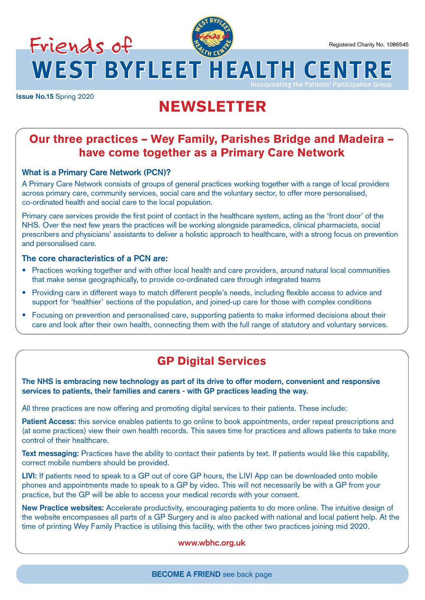**Issue No.15** Spring 2020

# **<sup>W</sup>ES<sup>T</sup> <sup>B</sup>YFLEE<sup>T</sup> <sup>H</sup><sup>E</sup> <sup>A</sup>LTHREA** Friends of

**WEST BYFLEET HEALTH CENTRE**

# NEWSLETTER

# Our three practices – Wey Family, Parishes Bridge and Madeira – have come together as a Primary Care Network

# **What is a Primary Care Network (PCN)?**

Friends of

A Primary Care Network consists of groups of general practices working together with a range of local providers across primary care, community services, social care and the voluntary sector, to offer more personalised, co-ordinated health and social care to the local population.

Primary care services provide the first point of contact in the healthcare system, acting as the 'front door' of the NHS. Over the next few years the practices will be working alongside paramedics, clinical pharmacists, social prescribers and physicians' assistants to deliver a holistic approach to healthcare, with a strong focus on prevention and personalised care.

# **The core characteristics of a PCN are:**

- Practices working together and with other local health and care providers, around natural local communities that make sense geographically, to provide co-ordinated care through integrated teams
- Providing care in different ways to match different people's needs, including flexible access to advice and support for 'healthier' sections of the population, and joined-up care for those with complex conditions
- Focusing on prevention and personalised care, supporting patients to make informed decisions about their care and look after their own health, connecting them with the full range of statutory and voluntary services.

# GP Digital Services

**The NHS is embracing new technology as part of its drive to offer modern, convenient and responsive services to patients, their families and carers - with GP practices leading the way.**

All three practices are now offering and promoting digital services to their patients. These include:

**Patient Access:** this service enables patients to go online to book appointments, order repeat prescriptions and (at some practices) view their own health records. This saves time for practices and allows patients to take more control of their healthcare.

**Text messaging:** Practices have the ability to contact their patients by text. If patients would like this capability, correct mobile numbers should be provided.

LIVI: If patients need to speak to a GP out of core GP hours, the LIVI App can be downloaded onto mobile phones and appointments made to speak to a GP by video. This will not necessarily be with a GP from your practice, but the GP will be able to access your medical records with your consent.

**New Practice websites:** Accelerate productivity, encouraging patients to do more online. The intuitive design of the website encompasses all parts of a GP Surgery and is also packed with national and local patient help. At the time of printing Wey Family Practice is utilising this facility, with the other two practices joining mid 2020.

# **www.wbhc.org.uk**

**BECOME A FRIEND** see back page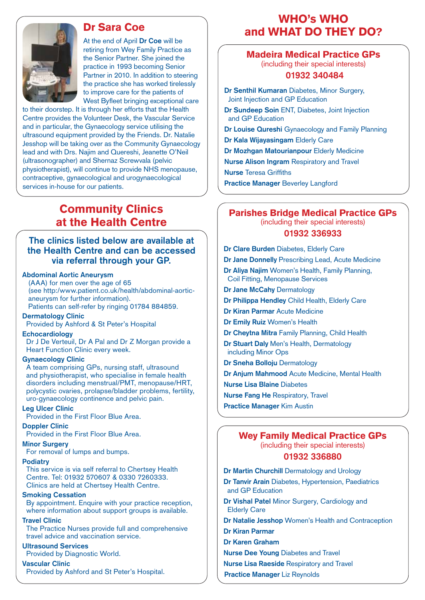# Dr Sara Coe



At the end of April **Dr Coe** will be retiring from Wey Family Practice as the Senior Partner. She joined the practice in 1993 becoming Senior Partner in 2010. In addition to steering the practice she has worked tirelessly to improve care for the patients of West Byfleet bringing exceptional care

to their doorstep. It is through her efforts that the Health Centre provides the Volunteer Desk, the Vascular Service and in particular, the Gynaecology service utilising the ultrasound equipment provided by the Friends. Dr. Natalie Jesshop will be taking over as the Community Gynaecology lead and with Drs. Najim and Quereshi, Jeanette O'Neil (ultrasonographer) and Shernaz Screwvala (pelvic physiotherapist), will continue to provide NHS menopause, contraceptive, gynaecological and urogynaecological services in-house for our patients.

# Community Clinics at the Health Centre

# **The clinics listed below are available at the Health Centre and can be accessed via referral through your GP.**

### **Abdominal Aortic Aneurysm**

 (AAA) for men over the age of 65 (see http:/www.patient.co.uk/health/abdominal-aorticaneurysm for further information). Patients can self-refer by ringing 01784 884859.

**Dermatology Clinic**

Provided by Ashford & St Peter's Hospital

#### **Echocardiology**

 Dr J De Verteuil, Dr A Pal and Dr Z Morgan provide a Heart Function Clinic every week.

#### **Gynaecology Clinic**

 A team comprising GPs, nursing staff, ultrasound and physiotherapist, who specialise in female health disorders including menstrual/PMT, menopause/HRT, polycystic ovaries, prolapse/bladder problems, fertility, uro-gynaecology continence and pelvic pain.

#### **Leg Ulcer Clinic**

Provided in the First Floor Blue Area.

#### **Doppler Clinic**

Provided in the First Floor Blue Area.

#### **Minor Surgery**

For removal of lumps and bumps.

#### **Podiatry**

 This service is via self referral to Chertsey Health Centre. Tel: 01932 570607 & 0330 7260333. Clinics are held at Chertsey Health Centre.

#### **Smoking Cessation**

 By appointment. Enquire with your practice reception, where information about support groups is available.

#### **Travel Clinic**

 The Practice Nurses provide full and comprehensive travel advice and vaccination service.

#### **Ultrasound Services**

Provided by Diagnostic World.

#### **Vascular Clinic**

Provided by Ashford and St Peter's Hospital.

# WHO's WHO and WHAT DO THEY DO?

# Madeira Medical Practice GPs

(including their special interests)

# **01932 340484**

**Dr Senthil Kumaran** Diabetes, Minor Surgery, Joint Injection and GP Education

**Dr Sundeep Soin** ENT, Diabetes, Joint Injection and GP Education

**Dr Louise Qureshi** Gynaecology and Family Planning

**Dr Kala Wijayasingam** Elderly Care

**Dr Mozhgan Matourianpour** Elderly Medicine

**Nurse Alison Ingram** Respiratory and Travel **Nurse** Teresa Griffiths

**Practice Manager** Beverley Langford

# Parishes Bridge Medical Practice GPs (including their special interests) **01932 336933**

- **Dr Clare Burden** Diabetes, Elderly Care
- **Dr Jane Donnelly** Prescribing Lead, Acute Medicine
- **Dr Aliya Najim** Women's Health, Family Planning, Coil Fitting, Menopause Services
- **Dr Jane McCahy** Dermatology
- **Dr Philippa Hendley** Child Health, Elderly Care
- **Dr Kiran Parmar** Acute Medicine
- **Dr Emily Ruiz** Women's Health
- **Dr Cheytna Mitra** Family Planning, Child Health
- **Dr Stuart Daly** Men's Health, Dermatology including Minor Ops
- **Dr Sneha Bolloju** Dermatology
- **Dr Anjum Mahmood** Acute Medicine, Mental Health
- **Nurse Lisa Blaine** Diabetes
- **Nurse Fang He** Respiratory, Travel
- **Practice Manager** Kim Austin

# Wey Family Medical Practice GPs (including their special interests)

## **01932 336880**

- **Dr Martin Churchill** Dermatology and Urology
- **Dr Tanvir Arain** Diabetes, Hypertension, Paediatrics and GP Education
- **Dr Vishal Patel** Minor Surgery, Cardiology and Elderly Care
- **Dr Natalie Jesshop** Women's Health and Contraception
- **Dr Kiran Parmar**
- **Dr Karen Graham**
- **Nurse Dee Young** Diabetes and Travel
- **Nurse Lisa Raeside** Respiratory and Travel
- **Practice Manager** Liz Reynolds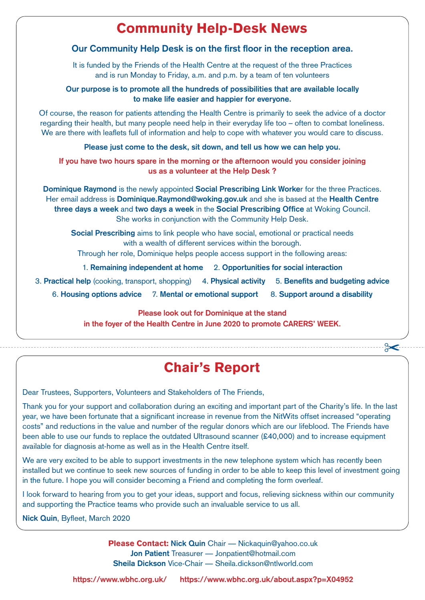# Community Help-Desk News

# **Our Community Help Desk is on the first floor in the reception area.**

It is funded by the Friends of the Health Centre at the request of the three Practices and is run Monday to Friday, a.m. and p.m. by a team of ten volunteers

# **Our purpose is to promote all the hundreds of possibilities that are available locally to make life easier and happier for everyone.**

Of course, the reason for patients attending the Health Centre is primarily to seek the advice of a doctor regarding their health, but many people need help in their everyday life too – often to combat loneliness. We are there with leaflets full of information and help to cope with whatever you would care to discuss.

**Please just come to the desk, sit down, and tell us how we can help you.**

**If you have two hours spare in the morning or the afternoon would you consider joining us as a volunteer at the Help Desk ?**

**Dominique Raymond** is the newly appointed **Social Prescribing Link Worke**r for the three Practices. Her email address is **Dominique.Raymond@woking.gov.uk** and she is based at the **Health Centre three days a week** and **two days a week** in the **Social Prescribing Office** at Woking Council. She works in conjunction with the Community Help Desk.

**Social Prescribing** aims to link people who have social, emotional or practical needs with a wealth of different services within the borough.

Through her role, Dominique helps people access support in the following areas:

1. **Remaining independent at home** 2. **Opportunities for social interaction**

- 3. **Practical help** (cooking, transport, shopping) 4. **Physical activity** 5. **Benefits and budgeting advice**
	- 6. **Housing options advice** 7. **Mental or emotional support** 8. **Support around a disability**

**Please look out for Dominique at the stand in the foyer of the Health Centre in June 2020 to promote CARERS' WEEK.**

# Chair's Report

 $\approx$ 

Dear Trustees, Supporters, Volunteers and Stakeholders of The Friends,

Thank you for your support and collaboration during an exciting and important part of the Charity's life. In the last year, we have been fortunate that a significant increase in revenue from the NitWits offset increased "operating costs" and reductions in the value and number of the regular donors which are our lifeblood. The Friends have been able to use our funds to replace the outdated Ultrasound scanner (£40,000) and to increase equipment available for diagnosis at-home as well as in the Health Centre itself.

We are very excited to be able to support investments in the new telephone system which has recently been installed but we continue to seek new sources of funding in order to be able to keep this level of investment going in the future. I hope you will consider becoming a Friend and completing the form overleaf.

I look forward to hearing from you to get your ideas, support and focus, relieving sickness within our community and supporting the Practice teams who provide such an invaluable service to us all.

**Nick Quin**, Byfleet, March 2020

Please Contact: **Nick Quin** Chair — Nickaquin@yahoo.co.uk **Jon Patient** Treasurer — Jonpatient@hotmail.com **Sheila Dickson** Vice-Chair — Sheila.dickson@ntlworld.com